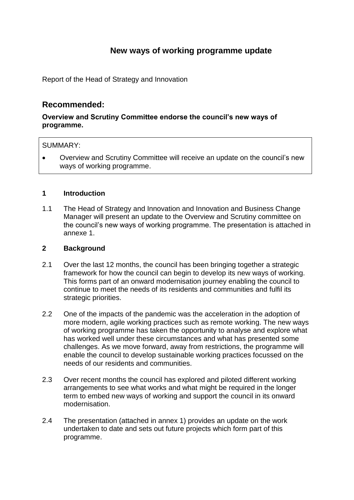# **New ways of working programme update**

Report of the Head of Strategy and Innovation

# **Recommended:**

## **Overview and Scrutiny Committee endorse the council's new ways of programme.**

### SUMMARY:

 Overview and Scrutiny Committee will receive an update on the council's new ways of working programme.

#### **1 Introduction**

1.1 The Head of Strategy and Innovation and Innovation and Business Change Manager will present an update to the Overview and Scrutiny committee on the council's new ways of working programme. The presentation is attached in annexe 1.

#### **2 Background**

- 2.1 Over the last 12 months, the council has been bringing together a strategic framework for how the council can begin to develop its new ways of working. This forms part of an onward modernisation journey enabling the council to continue to meet the needs of its residents and communities and fulfil its strategic priorities.
- 2.2 One of the impacts of the pandemic was the acceleration in the adoption of more modern, agile working practices such as remote working. The new ways of working programme has taken the opportunity to analyse and explore what has worked well under these circumstances and what has presented some challenges. As we move forward, away from restrictions, the programme will enable the council to develop sustainable working practices focussed on the needs of our residents and communities.
- 2.3 Over recent months the council has explored and piloted different working arrangements to see what works and what might be required in the longer term to embed new ways of working and support the council in its onward modernisation.
- 2.4 The presentation (attached in annex 1) provides an update on the work undertaken to date and sets out future projects which form part of this programme.